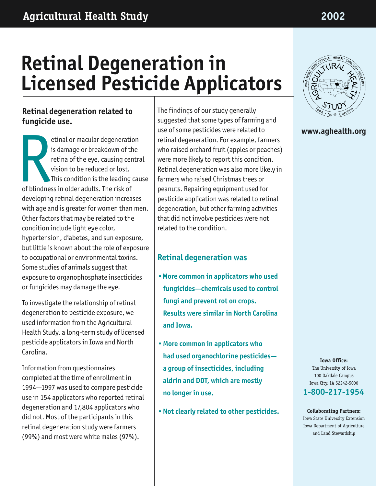# **Retinal Degeneration in Licensed Pesticide Applicators**

## **Retinal degeneration related to fungicide use.**

etinal or macular degeneration is damage or breakdown of the retina of the eye, causing central vision to be reduced or lost. This condition is the leading cause of blindness in older adults. The risk of developing retinal degeneration increases with age and is greater for women than men. Other factors that may be related to the condition include light eye color, hypertension, diabetes, and sun exposure, but little is known about the role of exposure to occupational or environmental toxins. Some studies of animals suggest that exposure to organophosphate insecticides or fungicides may damage the eye. Red Strategy

To investigate the relationship of retinal degeneration to pesticide exposure, we used information from the Agricultural Health Study, a long-term study of licensed pesticide applicators in Iowa and North Carolina.

Information from questionnaires completed at the time of enrollment in 1994—1997 was used to compare pesticide use in 154 applicators who reported retinal degeneration and 17,804 applicators who did not. Most of the participants in this retinal degeneration study were farmers (99%) and most were white males (97%).

The findings of our study generally suggested that some types of farming and use of some pesticides were related to retinal degeneration. For example, farmers who raised orchard fruit (apples or peaches) were more likely to report this condition. Retinal degeneration was also more likely in farmers who raised Christmas trees or peanuts. Repairing equipment used for pesticide application was related to retinal degeneration, but other farming activities that did not involve pesticides were not related to the condition.

## **Retinal degeneration was**

- **•More common in applicators who used fungicides—chemicals used to control fungi and prevent rot on crops. Results were similar in North Carolina and Iowa.**
- **•More common in applicators who had used organochlorine pesticides a group of insecticides, including aldrin and DDT, which are mostly no longer in use.**
- **•Not clearly related to other pesticides.**



### **www.aghealth.org**

**Iowa Office:** The University of Iowa 100 Oakdale Campus Iowa City, IA 52242-5000 **1-800-217-1954**

**Collaborating Partners:** Iowa State University Extension Iowa Department of Agriculture and Land Stewardship